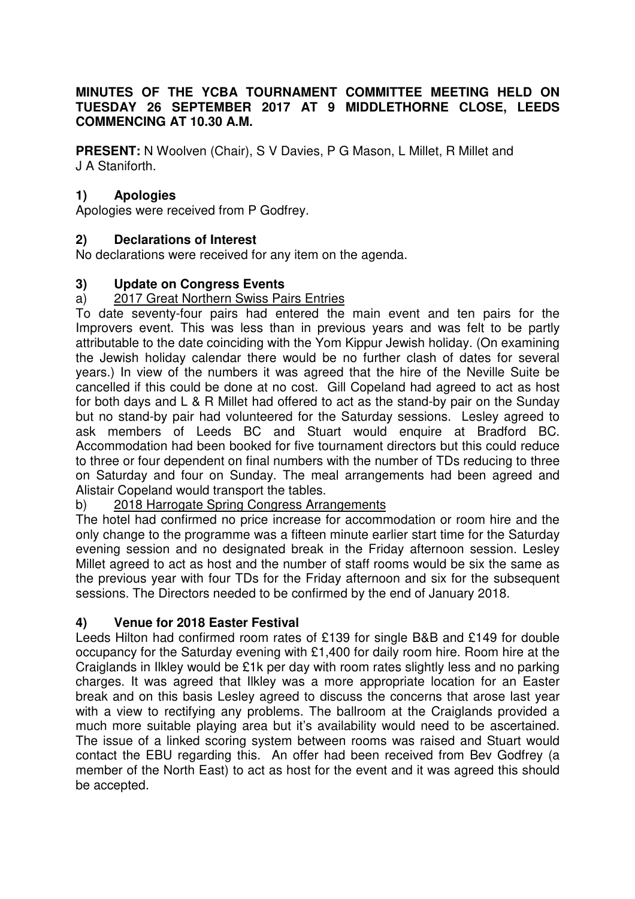### **MINUTES OF THE YCBA TOURNAMENT COMMITTEE MEETING HELD ON TUESDAY 26 SEPTEMBER 2017 AT 9 MIDDLETHORNE CLOSE, LEEDS COMMENCING AT 10.30 A.M.**

**PRESENT:** N Woolven (Chair), S V Davies, P G Mason, L Millet, R Millet and J A Staniforth.

# **1) Apologies**

Apologies were received from P Godfrey.

### **2) Declarations of Interest**

No declarations were received for any item on the agenda.

### **3) Update on Congress Events**

### a) 2017 Great Northern Swiss Pairs Entries

To date seventy-four pairs had entered the main event and ten pairs for the Improvers event. This was less than in previous years and was felt to be partly attributable to the date coinciding with the Yom Kippur Jewish holiday. (On examining the Jewish holiday calendar there would be no further clash of dates for several years.) In view of the numbers it was agreed that the hire of the Neville Suite be cancelled if this could be done at no cost. Gill Copeland had agreed to act as host for both days and L & R Millet had offered to act as the stand-by pair on the Sunday but no stand-by pair had volunteered for the Saturday sessions. Lesley agreed to ask members of Leeds BC and Stuart would enquire at Bradford BC. Accommodation had been booked for five tournament directors but this could reduce to three or four dependent on final numbers with the number of TDs reducing to three on Saturday and four on Sunday. The meal arrangements had been agreed and Alistair Copeland would transport the tables.

#### b) 2018 Harrogate Spring Congress Arrangements

The hotel had confirmed no price increase for accommodation or room hire and the only change to the programme was a fifteen minute earlier start time for the Saturday evening session and no designated break in the Friday afternoon session. Lesley Millet agreed to act as host and the number of staff rooms would be six the same as the previous year with four TDs for the Friday afternoon and six for the subsequent sessions. The Directors needed to be confirmed by the end of January 2018.

# **4) Venue for 2018 Easter Festival**

Leeds Hilton had confirmed room rates of £139 for single B&B and £149 for double occupancy for the Saturday evening with £1,400 for daily room hire. Room hire at the Craiglands in Ilkley would be £1k per day with room rates slightly less and no parking charges. It was agreed that Ilkley was a more appropriate location for an Easter break and on this basis Lesley agreed to discuss the concerns that arose last year with a view to rectifying any problems. The ballroom at the Craiglands provided a much more suitable playing area but it's availability would need to be ascertained. The issue of a linked scoring system between rooms was raised and Stuart would contact the EBU regarding this. An offer had been received from Bev Godfrey (a member of the North East) to act as host for the event and it was agreed this should be accepted.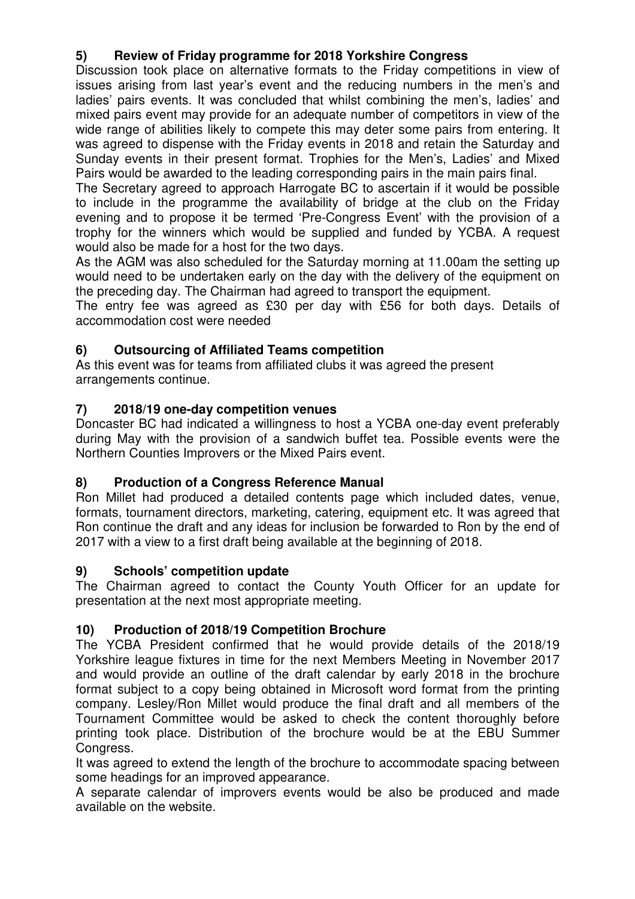# **5) Review of Friday programme for 2018 Yorkshire Congress**

Discussion took place on alternative formats to the Friday competitions in view of issues arising from last year's event and the reducing numbers in the men's and ladies' pairs events. It was concluded that whilst combining the men's, ladies' and mixed pairs event may provide for an adequate number of competitors in view of the wide range of abilities likely to compete this may deter some pairs from entering. It was agreed to dispense with the Friday events in 2018 and retain the Saturday and Sunday events in their present format. Trophies for the Men's, Ladies' and Mixed Pairs would be awarded to the leading corresponding pairs in the main pairs final.

The Secretary agreed to approach Harrogate BC to ascertain if it would be possible to include in the programme the availability of bridge at the club on the Friday evening and to propose it be termed 'Pre-Congress Event' with the provision of a trophy for the winners which would be supplied and funded by YCBA. A request would also be made for a host for the two days.

As the AGM was also scheduled for the Saturday morning at 11.00am the setting up would need to be undertaken early on the day with the delivery of the equipment on the preceding day. The Chairman had agreed to transport the equipment.

The entry fee was agreed as £30 per day with £56 for both days. Details of accommodation cost were needed

# **6) Outsourcing of Affiliated Teams competition**

As this event was for teams from affiliated clubs it was agreed the present arrangements continue.

# **7) 2018/19 one-day competition venues**

Doncaster BC had indicated a willingness to host a YCBA one-day event preferably during May with the provision of a sandwich buffet tea. Possible events were the Northern Counties Improvers or the Mixed Pairs event.

# **8) Production of a Congress Reference Manual**

Ron Millet had produced a detailed contents page which included dates, venue, formats, tournament directors, marketing, catering, equipment etc. It was agreed that Ron continue the draft and any ideas for inclusion be forwarded to Ron by the end of 2017 with a view to a first draft being available at the beginning of 2018.

# **9) Schools' competition update**

The Chairman agreed to contact the County Youth Officer for an update for presentation at the next most appropriate meeting.

# **10) Production of 2018/19 Competition Brochure**

The YCBA President confirmed that he would provide details of the 2018/19 Yorkshire league fixtures in time for the next Members Meeting in November 2017 and would provide an outline of the draft calendar by early 2018 in the brochure format subject to a copy being obtained in Microsoft word format from the printing company. Lesley/Ron Millet would produce the final draft and all members of the Tournament Committee would be asked to check the content thoroughly before printing took place. Distribution of the brochure would be at the EBU Summer Congress.

It was agreed to extend the length of the brochure to accommodate spacing between some headings for an improved appearance.

A separate calendar of improvers events would be also be produced and made available on the website.